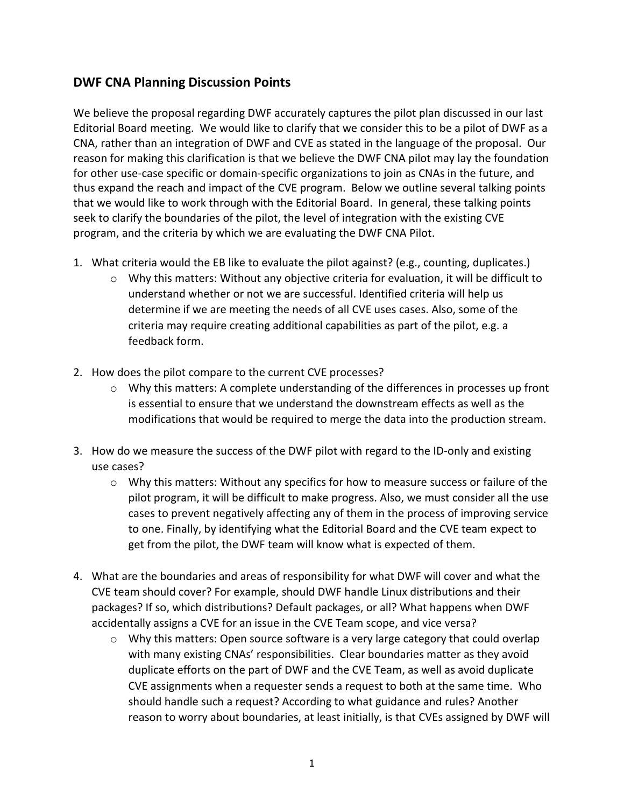## DWF CNA Planning Discussion Points

We believe the proposal regarding DWF accurately captures the pilot plan discussed in our last Editorial Board meeting. We would like to clarify that we consider this to be a pilot of DWF as a CNA, rather than an integration of DWF and CVE as stated in the language of the proposal. Our reason for making this clarification is that we believe the DWF CNA pilot may lay the foundation for other use-case specific or domain-specific organizations to join as CNAs in the future, and thus expand the reach and impact of the CVE program. Below we outline several talking points that we would like to work through with the Editorial Board. In general, these talking points seek to clarify the boundaries of the pilot, the level of integration with the existing CVE program, and the criteria by which we are evaluating the DWF CNA Pilot.

- 1. What criteria would the EB like to evaluate the pilot against? (e.g., counting, duplicates.)
	- o Why this matters: Without any objective criteria for evaluation, it will be difficult to understand whether or not we are successful. Identified criteria will help us determine if we are meeting the needs of all CVE uses cases. Also, some of the criteria may require creating additional capabilities as part of the pilot, e.g. a feedback form.
- 2. How does the pilot compare to the current CVE processes?
	- $\circ$  Why this matters: A complete understanding of the differences in processes up front is essential to ensure that we understand the downstream effects as well as the modifications that would be required to merge the data into the production stream.
- 3. How do we measure the success of the DWF pilot with regard to the ID-only and existing use cases?
	- o Why this matters: Without any specifics for how to measure success or failure of the pilot program, it will be difficult to make progress. Also, we must consider all the use cases to prevent negatively affecting any of them in the process of improving service to one. Finally, by identifying what the Editorial Board and the CVE team expect to get from the pilot, the DWF team will know what is expected of them.
- 4. What are the boundaries and areas of responsibility for what DWF will cover and what the CVE team should cover? For example, should DWF handle Linux distributions and their packages? If so, which distributions? Default packages, or all? What happens when DWF accidentally assigns a CVE for an issue in the CVE Team scope, and vice versa?
	- o Why this matters: Open source software is a very large category that could overlap with many existing CNAs' responsibilities. Clear boundaries matter as they avoid duplicate efforts on the part of DWF and the CVE Team, as well as avoid duplicate CVE assignments when a requester sends a request to both at the same time. Who should handle such a request? According to what guidance and rules? Another reason to worry about boundaries, at least initially, is that CVEs assigned by DWF will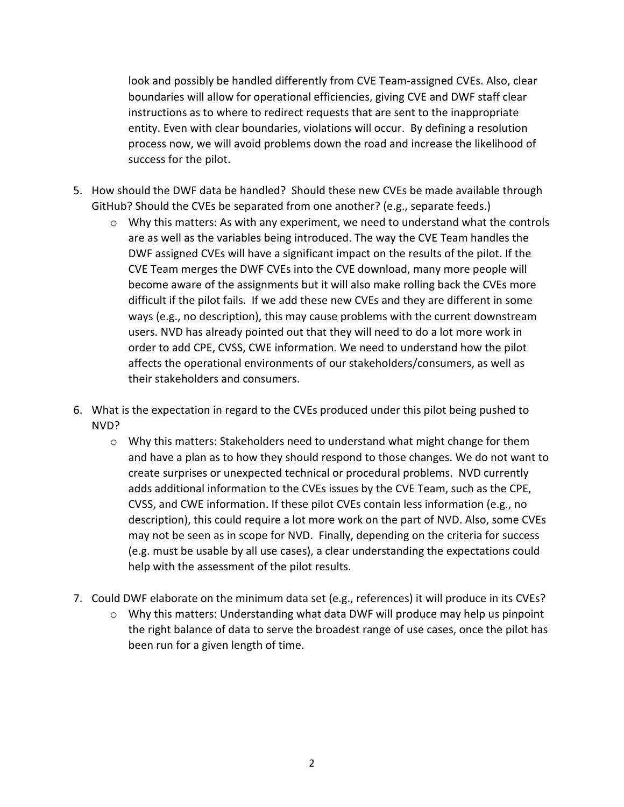look and possibly be handled differently from CVE Team-assigned CVEs. Also, clear boundaries will allow for operational efficiencies, giving CVE and DWF staff clear instructions as to where to redirect requests that are sent to the inappropriate entity. Even with clear boundaries, violations will occur. By defining a resolution process now, we will avoid problems down the road and increase the likelihood of success for the pilot.

- 5. How should the DWF data be handled? Should these new CVEs be made available through GitHub? Should the CVEs be separated from one another? (e.g., separate feeds.)
	- $\circ$  Why this matters: As with any experiment, we need to understand what the controls are as well as the variables being introduced. The way the CVE Team handles the DWF assigned CVEs will have a significant impact on the results of the pilot. If the CVE Team merges the DWF CVEs into the CVE download, many more people will become aware of the assignments but it will also make rolling back the CVEs more difficult if the pilot fails. If we add these new CVEs and they are different in some ways (e.g., no description), this may cause problems with the current downstream users. NVD has already pointed out that they will need to do a lot more work in order to add CPE, CVSS, CWE information. We need to understand how the pilot affects the operational environments of our stakeholders/consumers, as well as their stakeholders and consumers.
- 6. What is the expectation in regard to the CVEs produced under this pilot being pushed to NVD?
	- o Why this matters: Stakeholders need to understand what might change for them and have a plan as to how they should respond to those changes. We do not want to create surprises or unexpected technical or procedural problems. NVD currently adds additional information to the CVEs issues by the CVE Team, such as the CPE, CVSS, and CWE information. If these pilot CVEs contain less information (e.g., no description), this could require a lot more work on the part of NVD. Also, some CVEs may not be seen as in scope for NVD. Finally, depending on the criteria for success (e.g. must be usable by all use cases), a clear understanding the expectations could help with the assessment of the pilot results.
- 7. Could DWF elaborate on the minimum data set (e.g., references) it will produce in its CVEs?
	- $\circ$  Why this matters: Understanding what data DWF will produce may help us pinpoint the right balance of data to serve the broadest range of use cases, once the pilot has been run for a given length of time.